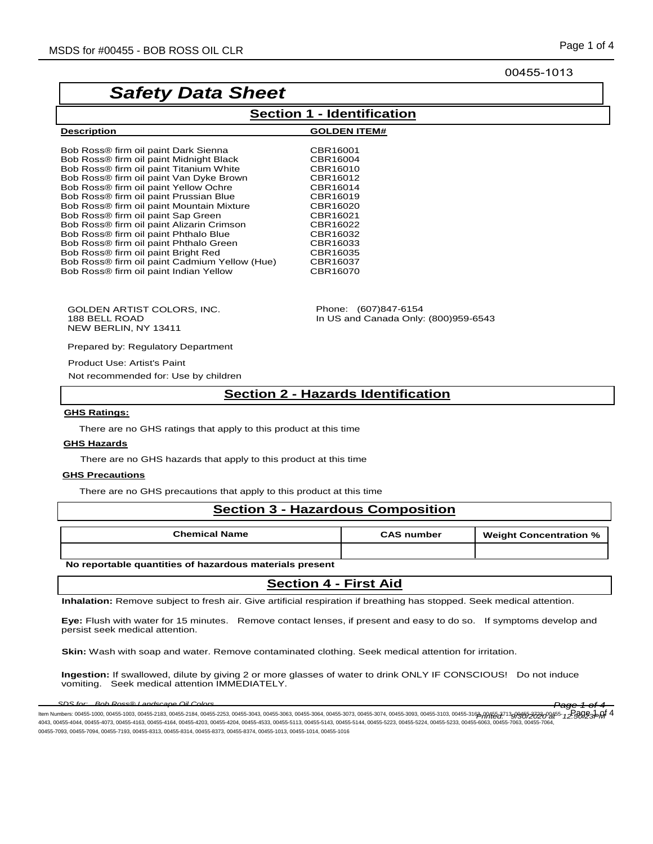#### 00455-1013

# *Safety Data Sheet*

**Description GOLDEN ITEM#**

## **Section 1 - Identification**

| CBR16001 |
|----------|
| CBR16004 |
| CBR16010 |
| CBR16012 |
| CBR16014 |
| CBR16019 |
| CBR16020 |
| CBR16021 |
| CBR16022 |
| CBR16032 |
| CBR16033 |
| CBR16035 |
| CBR16037 |
| CBR16070 |
|          |

GOLDEN ARTIST COLORS, INC. 188 BELL ROAD NEW BERLIN, NY 13411

Phone: (607)847-6154 In US and Canada Only: (800)959-6543

Prepared by: Regulatory Department

Product Use: Artist's Paint Not recommended for: Use by children

## **Section 2 - Hazards Identification**

#### **GHS Ratings:**

There are no GHS ratings that apply to this product at this time

#### **GHS Hazards**

There are no GHS hazards that apply to this product at this time

#### **GHS Precautions**

There are no GHS precautions that apply to this product at this time

#### **Section 3 - Hazardous Composition**

| <b>Chemical Name</b> | <b>CAS number</b> | <b>Weight Concentration %</b> |
|----------------------|-------------------|-------------------------------|
|                      |                   |                               |

#### **No reportable quantities of hazardous materials present**

## **Section 4 - First Aid**

**Inhalation:** Remove subject to fresh air. Give artificial respiration if breathing has stopped. Seek medical attention.

**Eye:** Flush with water for 15 minutes. Remove contact lenses, if present and easy to do so. If symptoms develop and persist seek medical attention.

**Skin:** Wash with soap and water. Remove contaminated clothing. Seek medical attention for irritation.

**Ingestion:** If swallowed, dilute by giving 2 or more glasses of water to drink ONLY IF CONSCIOUS! Do not induce vomiting. Seek medical attention IMMEDIATELY.

*SDS for: Bob Ross® Landscape Oil Colors Page 1 of 4* ltem Numbers: 00455-1000, 00455-1003, 00455-2183, 00455-2184, 00455-2253, 00455-3063, 00455-3063, 00455-3064, 00455-3073, 00455-3074, 00455-3093, 00455-3103, 00455-3162, 00455-3162, 00455-3162, 00455-3162, 00455-3162, 0045 4043, 00455-4044, 00455-4073, 00455-4163, 00455-4164, 00455-4203, 00455-4204, 00455-4533, 00455-5113, 00455-5143, 00455-5144, 00455-5223, 00455-5224, 00455-5233, 00455-6063, 00455-7063, 00455-7064, 00455-7093, 00455-7094, 00455-7193, 00455-8313, 00455-8314, 00455-8373, 00455-8374, 00455-1013, 00455-1014, 00455-1016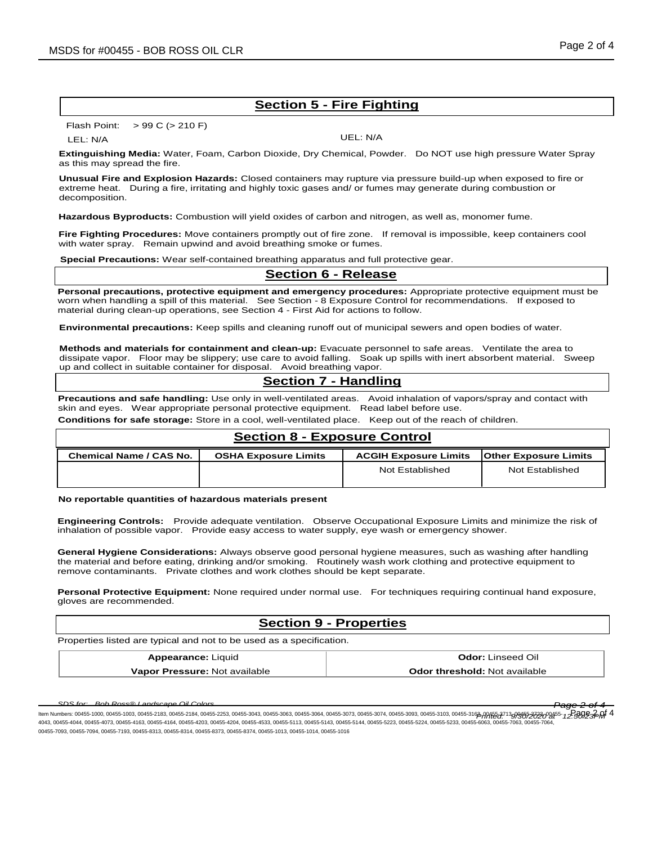# **Section 5 - Fire Fighting**

#### Flash Point: > 99 C (> 210 F)

LEL: N/A UEL: N/A

**Extinguishing Media:** Water, Foam, Carbon Dioxide, Dry Chemical, Powder. Do NOT use high pressure Water Spray as this may spread the fire.

**Unusual Fire and Explosion Hazards:** Closed containers may rupture via pressure build-up when exposed to fire or extreme heat. During a fire, irritating and highly toxic gases and/ or fumes may generate during combustion or decomposition.

**Hazardous Byproducts:** Combustion will yield oxides of carbon and nitrogen, as well as, monomer fume.

**Fire Fighting Procedures:** Move containers promptly out of fire zone. If removal is impossible, keep containers cool with water spray. Remain upwind and avoid breathing smoke or fumes.

**Special Precautions:** Wear self-contained breathing apparatus and full protective gear.

### **Section 6 - Release**

**Personal precautions, protective equipment and emergency procedures:** Appropriate protective equipment must be worn when handling a spill of this material. See Section - 8 Exposure Control for recommendations. If exposed to material during clean-up operations, see Section 4 - First Aid for actions to follow.

**Environmental precautions:** Keep spills and cleaning runoff out of municipal sewers and open bodies of water.

**Methods and materials for containment and clean-up:** Evacuate personnel to safe areas. Ventilate the area to dissipate vapor. Floor may be slippery; use care to avoid falling. Soak up spills with inert absorbent material. Sweep up and collect in suitable container for disposal. Avoid breathing vapor.

## **Section 7 - Handling**

**Precautions and safe handling:** Use only in well-ventilated areas. Avoid inhalation of vapors/spray and contact with skin and eyes. Wear appropriate personal protective equipment. Read label before use.

**Conditions for safe storage:** Store in a cool, well-ventilated place. Keep out of the reach of children.

# **Section 8 - Exposure Control Chemical Name / CAS No. OSHA Exposure Limits ACGIH Exposure Limits Other Exposure Limits** Not Established | Not Established

**No reportable quantities of hazardous materials present**

**Engineering Controls:** Provide adequate ventilation. Observe Occupational Exposure Limits and minimize the risk of inhalation of possible vapor. Provide easy access to water supply, eye wash or emergency shower.

**General Hygiene Considerations:** Always observe good personal hygiene measures, such as washing after handling the material and before eating, drinking and/or smoking. Routinely wash work clothing and protective equipment to remove contaminants. Private clothes and work clothes should be kept separate.

**Personal Protective Equipment:** None required under normal use. For techniques requiring continual hand exposure, gloves are recommended.

## **Section 9 - Properties**

Properties listed are typical and not to be used as a specification.

| <b>Appearance: Liquid</b>     | <b>Odor:</b> Linseed Oil             |
|-------------------------------|--------------------------------------|
| Vapor Pressure: Not available | <b>Odor threshold: Not available</b> |

*SDS for: Bob Ross® Landscape Oil Colors Page 2 of 4* ltem Numbers: 00455-1000, 00455-1003, 00455-2183, 00455-2184, 00455-2253, 00455-3063, 00455-3063, 00455-3064, 00455-3073, 00455-3074, 00455-3093, 00455-3103, 00455-3162, 00455-3162, 00455-3162, 00455-3162, 00455-3162, 0045 4043, 00455-4044, 00455-4073, 00455-4163, 00455-4164, 00455-4203, 00455-4204, 00455-4533, 00455-5113, 00455-5143, 00455-5144, 00455-5223, 00455-5224, 00455-5233, 00455-5063, 00455-7063, 00455-5283, 00455-7063, 00455-7063, 0 00455-7093, 00455-7094, 00455-7193, 00455-8313, 00455-8314, 00455-8373, 00455-8374, 00455-1013, 00455-1014, 00455-1016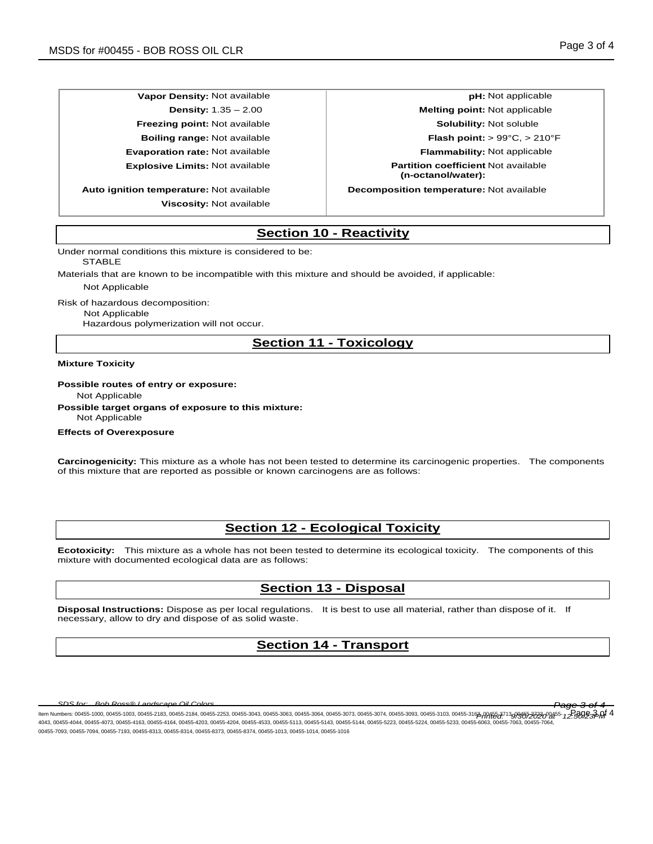**Vapor Density:** Not available **pH:** Not applicable **pH:** Not applicable

**Auto ignition temperature:** Not available **Decomposition temperature:** Not available **Viscosity:** Not available

**Density:** 1.35 – 2.00 **Melting point:** Not applicable **Freezing point:** Not available **Solubility:** Not soluble **Boiling range:** Not available **Flash point:** > 99°C, > 210°F **Evaporation rate:** Not available **Flammability:** Not applicable **Explosive Limits:** Not available **Partition coefficient** Not available **(n-octanol/water):**

# **Section 10 - Reactivity**

Under normal conditions this mixture is considered to be:

**STABLE** 

Materials that are known to be incompatible with this mixture and should be avoided, if applicable:

Not Applicable

Risk of hazardous decomposition:

Not Applicable

Hazardous polymerization will not occur.

## **Section 11 - Toxicology**

**Mixture Toxicity**

**Possible routes of entry or exposure:**

Not Applicable

**Possible target organs of exposure to this mixture:** Not Applicable

**Effects of Overexposure**

**Carcinogenicity:** This mixture as a whole has not been tested to determine its carcinogenic properties. The components of this mixture that are reported as possible or known carcinogens are as follows:

## **Section 12 - Ecological Toxicity**

**Ecotoxicity:** This mixture as a whole has not been tested to determine its ecological toxicity. The components of this mixture with documented ecological data are as follows:

## **Section 13 - Disposal**

**Disposal Instructions:** Dispose as per local regulations. It is best to use all material, rather than dispose of it. If necessary, allow to dry and dispose of as solid waste.

# **Section 14 - Transport**

*SDS for: Bob Ross® Landscape Oil Colors Page 3 of 4*

ltem Numbers: 00455-1000, 00455-1003, 00455-2183, 00455-2184, 00455-2253, 00455-3063, 00455-3063, 00455-3064, 00455-3073, 00455-3074, 00455-3093, 00455-3103, 00455-3162, 00455-3162, 00455-3162, 00455-3162, 00455-3162, 0045 4043, 00455-4044, 00455-4073, 00455-4163, 00455-4164, 00455-4203, 00455-4204, 00455-4533, 00455-5113, 00455-5143, 00455-5144, 00455-5223, 00455-5224, 00455-5233, 00455-6063, 00455-7063, 00455-7064, 00455-7093, 00455-7094, 00455-7193, 00455-8313, 00455-8314, 00455-8373, 00455-8374, 00455-1013, 00455-1014, 00455-1016